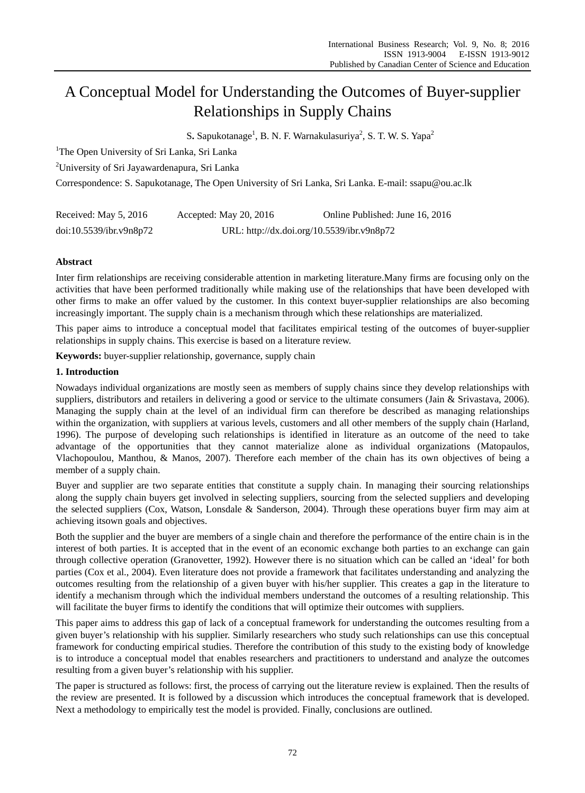# A Conceptual Model for Understanding the Outcomes of Buyer-supplier Relationships in Supply Chains

S. Sapukotanage<sup>1</sup>, B. N. F. Warnakulasuriya<sup>2</sup>, S. T. W. S. Yapa<sup>2</sup>

<sup>1</sup>The Open University of Sri Lanka, Sri Lanka

<sup>2</sup>University of Sri Jayawardenapura, Sri Lanka

Correspondence: S. Sapukotanage, The Open University of Sri Lanka, Sri Lanka. E-mail: ssapu@ou.ac.lk

| Received: May 5, 2016   | Accepted: May $20, 2016$                   | Online Published: June 16, 2016 |
|-------------------------|--------------------------------------------|---------------------------------|
| doi:10.5539/ibr.y9n8p72 | URL: http://dx.doi.org/10.5539/ibr.v9n8p72 |                                 |

# **Abstract**

Inter firm relationships are receiving considerable attention in marketing literature.Many firms are focusing only on the activities that have been performed traditionally while making use of the relationships that have been developed with other firms to make an offer valued by the customer. In this context buyer-supplier relationships are also becoming increasingly important. The supply chain is a mechanism through which these relationships are materialized.

This paper aims to introduce a conceptual model that facilitates empirical testing of the outcomes of buyer-supplier relationships in supply chains. This exercise is based on a literature review.

**Keywords:** buyer-supplier relationship, governance, supply chain

# **1. Introduction**

Nowadays individual organizations are mostly seen as members of supply chains since they develop relationships with suppliers, distributors and retailers in delivering a good or service to the ultimate consumers (Jain & Srivastava, 2006). Managing the supply chain at the level of an individual firm can therefore be described as managing relationships within the organization, with suppliers at various levels, customers and all other members of the supply chain (Harland, 1996). The purpose of developing such relationships is identified in literature as an outcome of the need to take advantage of the opportunities that they cannot materialize alone as individual organizations (Matopaulos, Vlachopoulou, Manthou, & Manos, 2007). Therefore each member of the chain has its own objectives of being a member of a supply chain.

Buyer and supplier are two separate entities that constitute a supply chain. In managing their sourcing relationships along the supply chain buyers get involved in selecting suppliers, sourcing from the selected suppliers and developing the selected suppliers (Cox, Watson, Lonsdale & Sanderson, 2004). Through these operations buyer firm may aim at achieving itsown goals and objectives.

Both the supplier and the buyer are members of a single chain and therefore the performance of the entire chain is in the interest of both parties. It is accepted that in the event of an economic exchange both parties to an exchange can gain through collective operation (Granovetter, 1992). However there is no situation which can be called an 'ideal' for both parties (Cox et al., 2004). Even literature does not provide a framework that facilitates understanding and analyzing the outcomes resulting from the relationship of a given buyer with his/her supplier. This creates a gap in the literature to identify a mechanism through which the individual members understand the outcomes of a resulting relationship. This will facilitate the buyer firms to identify the conditions that will optimize their outcomes with suppliers.

This paper aims to address this gap of lack of a conceptual framework for understanding the outcomes resulting from a given buyer's relationship with his supplier. Similarly researchers who study such relationships can use this conceptual framework for conducting empirical studies. Therefore the contribution of this study to the existing body of knowledge is to introduce a conceptual model that enables researchers and practitioners to understand and analyze the outcomes resulting from a given buyer's relationship with his supplier.

The paper is structured as follows: first, the process of carrying out the literature review is explained. Then the results of the review are presented. It is followed by a discussion which introduces the conceptual framework that is developed. Next a methodology to empirically test the model is provided. Finally, conclusions are outlined.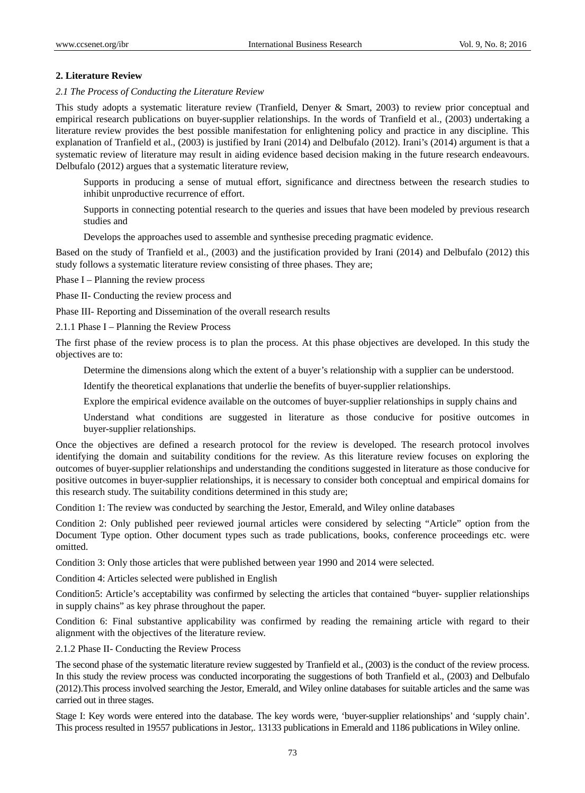# **2. Literature Review**

## *2.1 The Process of Conducting the Literature Review*

This study adopts a systematic literature review (Tranfield, Denyer & Smart, 2003) to review prior conceptual and empirical research publications on buyer-supplier relationships. In the words of Tranfield et al., (2003) undertaking a literature review provides the best possible manifestation for enlightening policy and practice in any discipline. This explanation of Tranfield et al., (2003) is justified by Irani (2014) and Delbufalo (2012). Irani's (2014) argument is that a systematic review of literature may result in aiding evidence based decision making in the future research endeavours. Delbufalo (2012) argues that a systematic literature review,

Supports in producing a sense of mutual effort, significance and directness between the research studies to inhibit unproductive recurrence of effort.

Supports in connecting potential research to the queries and issues that have been modeled by previous research studies and

Develops the approaches used to assemble and synthesise preceding pragmatic evidence.

Based on the study of Tranfield et al., (2003) and the justification provided by Irani (2014) and Delbufalo (2012) this study follows a systematic literature review consisting of three phases. They are;

Phase I – Planning the review process

Phase II- Conducting the review process and

Phase III- Reporting and Dissemination of the overall research results

2.1.1 Phase I – Planning the Review Process

The first phase of the review process is to plan the process. At this phase objectives are developed. In this study the objectives are to:

Determine the dimensions along which the extent of a buyer's relationship with a supplier can be understood.

Identify the theoretical explanations that underlie the benefits of buyer-supplier relationships.

Explore the empirical evidence available on the outcomes of buyer-supplier relationships in supply chains and

Understand what conditions are suggested in literature as those conducive for positive outcomes in buyer-supplier relationships.

Once the objectives are defined a research protocol for the review is developed. The research protocol involves identifying the domain and suitability conditions for the review. As this literature review focuses on exploring the outcomes of buyer-supplier relationships and understanding the conditions suggested in literature as those conducive for positive outcomes in buyer-supplier relationships, it is necessary to consider both conceptual and empirical domains for this research study. The suitability conditions determined in this study are;

Condition 1: The review was conducted by searching the Jestor, Emerald, and Wiley online databases

Condition 2: Only published peer reviewed journal articles were considered by selecting "Article" option from the Document Type option. Other document types such as trade publications, books, conference proceedings etc. were omitted.

Condition 3: Only those articles that were published between year 1990 and 2014 were selected.

Condition 4: Articles selected were published in English

Condition5: Article's acceptability was confirmed by selecting the articles that contained "buyer- supplier relationships in supply chains" as key phrase throughout the paper.

Condition 6: Final substantive applicability was confirmed by reading the remaining article with regard to their alignment with the objectives of the literature review.

2.1.2 Phase II- Conducting the Review Process

The second phase of the systematic literature review suggested by Tranfield et al., (2003) is the conduct of the review process. In this study the review process was conducted incorporating the suggestions of both Tranfield et al., (2003) and Delbufalo (2012).This process involved searching the Jestor, Emerald, and Wiley online databases for suitable articles and the same was carried out in three stages.

Stage I: Key words were entered into the database. The key words were, 'buyer-supplier relationships' and 'supply chain'. This process resulted in 19557 publications in Jestor,. 13133 publications in Emerald and 1186 publications in Wiley online.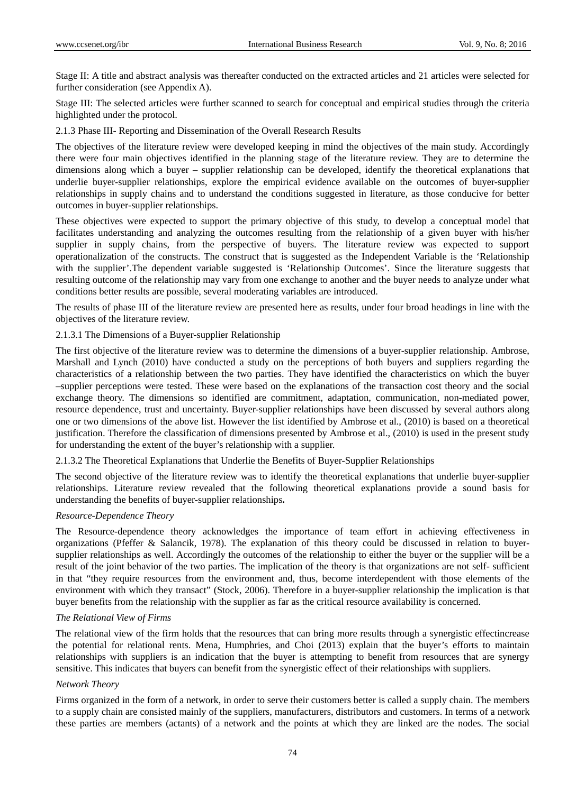Stage II: A title and abstract analysis was thereafter conducted on the extracted articles and 21 articles were selected for further consideration (see Appendix A).

Stage III: The selected articles were further scanned to search for conceptual and empirical studies through the criteria highlighted under the protocol.

2.1.3 Phase III- Reporting and Dissemination of the Overall Research Results

The objectives of the literature review were developed keeping in mind the objectives of the main study. Accordingly there were four main objectives identified in the planning stage of the literature review. They are to determine the dimensions along which a buyer – supplier relationship can be developed, identify the theoretical explanations that underlie buyer-supplier relationships, explore the empirical evidence available on the outcomes of buyer-supplier relationships in supply chains and to understand the conditions suggested in literature, as those conducive for better outcomes in buyer-supplier relationships.

These objectives were expected to support the primary objective of this study, to develop a conceptual model that facilitates understanding and analyzing the outcomes resulting from the relationship of a given buyer with his/her supplier in supply chains, from the perspective of buyers. The literature review was expected to support operationalization of the constructs. The construct that is suggested as the Independent Variable is the 'Relationship with the supplier'.The dependent variable suggested is 'Relationship Outcomes'. Since the literature suggests that resulting outcome of the relationship may vary from one exchange to another and the buyer needs to analyze under what conditions better results are possible, several moderating variables are introduced.

The results of phase III of the literature review are presented here as results, under four broad headings in line with the objectives of the literature review.

# 2.1.3.1 The Dimensions of a Buyer-supplier Relationship

The first objective of the literature review was to determine the dimensions of a buyer-supplier relationship. Ambrose, Marshall and Lynch (2010) have conducted a study on the perceptions of both buyers and suppliers regarding the characteristics of a relationship between the two parties. They have identified the characteristics on which the buyer –supplier perceptions were tested. These were based on the explanations of the transaction cost theory and the social exchange theory. The dimensions so identified are commitment, adaptation, communication, non-mediated power, resource dependence, trust and uncertainty. Buyer-supplier relationships have been discussed by several authors along one or two dimensions of the above list. However the list identified by Ambrose et al., (2010) is based on a theoretical justification. Therefore the classification of dimensions presented by Ambrose et al., (2010) is used in the present study for understanding the extent of the buyer's relationship with a supplier.

2.1.3.2 The Theoretical Explanations that Underlie the Benefits of Buyer-Supplier Relationships

The second objective of the literature review was to identify the theoretical explanations that underlie buyer-supplier relationships. Literature review revealed that the following theoretical explanations provide a sound basis for understanding the benefits of buyer-supplier relationships**.** 

# *Resource-Dependence Theory*

The Resource-dependence theory acknowledges the importance of team effort in achieving effectiveness in organizations (Pfeffer & Salancik, 1978). The explanation of this theory could be discussed in relation to buyersupplier relationships as well. Accordingly the outcomes of the relationship to either the buyer or the supplier will be a result of the joint behavior of the two parties. The implication of the theory is that organizations are not self- sufficient in that "they require resources from the environment and, thus, become interdependent with those elements of the environment with which they transact" (Stock, 2006). Therefore in a buyer-supplier relationship the implication is that buyer benefits from the relationship with the supplier as far as the critical resource availability is concerned.

#### *The Relational View of Firms*

The relational view of the firm holds that the resources that can bring more results through a synergistic effectincrease the potential for relational rents. Mena, Humphries, and Choi (2013) explain that the buyer's efforts to maintain relationships with suppliers is an indication that the buyer is attempting to benefit from resources that are synergy sensitive. This indicates that buyers can benefit from the synergistic effect of their relationships with suppliers.

#### *Network Theory*

Firms organized in the form of a network, in order to serve their customers better is called a supply chain. The members to a supply chain are consisted mainly of the suppliers, manufacturers, distributors and customers. In terms of a network these parties are members (actants) of a network and the points at which they are linked are the nodes. The social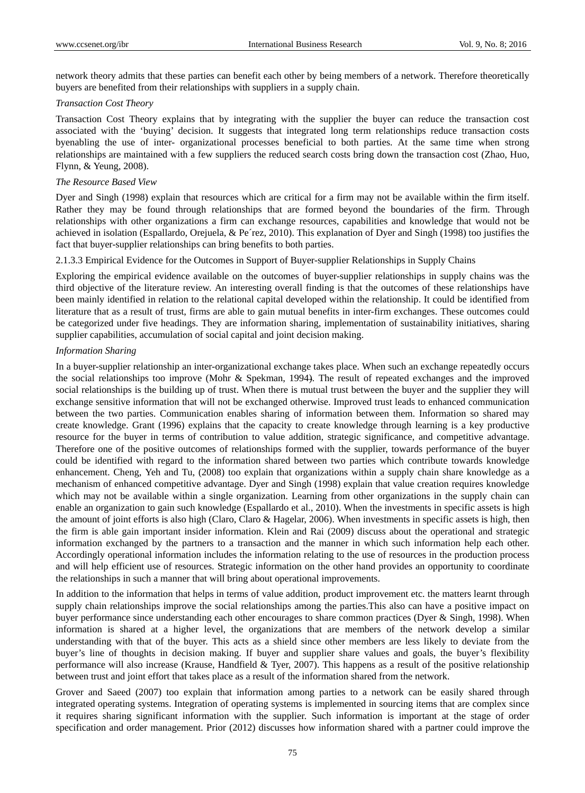network theory admits that these parties can benefit each other by being members of a network. Therefore theoretically buyers are benefited from their relationships with suppliers in a supply chain.

#### *Transaction Cost Theory*

Transaction Cost Theory explains that by integrating with the supplier the buyer can reduce the transaction cost associated with the 'buying' decision. It suggests that integrated long term relationships reduce transaction costs byenabling the use of inter- organizational processes beneficial to both parties. At the same time when strong relationships are maintained with a few suppliers the reduced search costs bring down the transaction cost (Zhao, Huo, Flynn, & Yeung, 2008).

#### *The Resource Based View*

Dyer and Singh (1998) explain that resources which are critical for a firm may not be available within the firm itself. Rather they may be found through relationships that are formed beyond the boundaries of the firm. Through relationships with other organizations a firm can exchange resources, capabilities and knowledge that would not be achieved in isolation (Espallardo, Orejuela, & Pe´rez, 2010). This explanation of Dyer and Singh (1998) too justifies the fact that buyer-supplier relationships can bring benefits to both parties.

#### 2.1.3.3 Empirical Evidence for the Outcomes in Support of Buyer-supplier Relationships in Supply Chains

Exploring the empirical evidence available on the outcomes of buyer-supplier relationships in supply chains was the third objective of the literature review. An interesting overall finding is that the outcomes of these relationships have been mainly identified in relation to the relational capital developed within the relationship. It could be identified from literature that as a result of trust, firms are able to gain mutual benefits in inter-firm exchanges. These outcomes could be categorized under five headings. They are information sharing, implementation of sustainability initiatives, sharing supplier capabilities, accumulation of social capital and joint decision making.

#### *Information Sharing*

In a buyer-supplier relationship an inter-organizational exchange takes place. When such an exchange repeatedly occurs the social relationships too improve (Mohr & Spekman, 1994). The result of repeated exchanges and the improved social relationships is the building up of trust. When there is mutual trust between the buyer and the supplier they will exchange sensitive information that will not be exchanged otherwise. Improved trust leads to enhanced communication between the two parties. Communication enables sharing of information between them. Information so shared may create knowledge. Grant (1996) explains that the capacity to create knowledge through learning is a key productive resource for the buyer in terms of contribution to value addition, strategic significance, and competitive advantage. Therefore one of the positive outcomes of relationships formed with the supplier, towards performance of the buyer could be identified with regard to the information shared between two parties which contribute towards knowledge enhancement. Cheng, Yeh and Tu, (2008) too explain that organizations within a supply chain share knowledge as a mechanism of enhanced competitive advantage. Dyer and Singh (1998) explain that value creation requires knowledge which may not be available within a single organization. Learning from other organizations in the supply chain can enable an organization to gain such knowledge (Espallardo et al., 2010). When the investments in specific assets is high the amount of joint efforts is also high (Claro, Claro & Hagelar, 2006). When investments in specific assets is high, then the firm is able gain important insider information. Klein and Rai (2009) discuss about the operational and strategic information exchanged by the partners to a transaction and the manner in which such information help each other. Accordingly operational information includes the information relating to the use of resources in the production process and will help efficient use of resources. Strategic information on the other hand provides an opportunity to coordinate the relationships in such a manner that will bring about operational improvements.

In addition to the information that helps in terms of value addition, product improvement etc. the matters learnt through supply chain relationships improve the social relationships among the parties. This also can have a positive impact on buyer performance since understanding each other encourages to share common practices (Dyer & Singh, 1998). When information is shared at a higher level, the organizations that are members of the network develop a similar understanding with that of the buyer. This acts as a shield since other members are less likely to deviate from the buyer's line of thoughts in decision making. If buyer and supplier share values and goals, the buyer's flexibility performance will also increase (Krause, Handfield & Tyer, 2007). This happens as a result of the positive relationship between trust and joint effort that takes place as a result of the information shared from the network.

Grover and Saeed (2007) too explain that information among parties to a network can be easily shared through integrated operating systems. Integration of operating systems is implemented in sourcing items that are complex since it requires sharing significant information with the supplier. Such information is important at the stage of order specification and order management. Prior (2012) discusses how information shared with a partner could improve the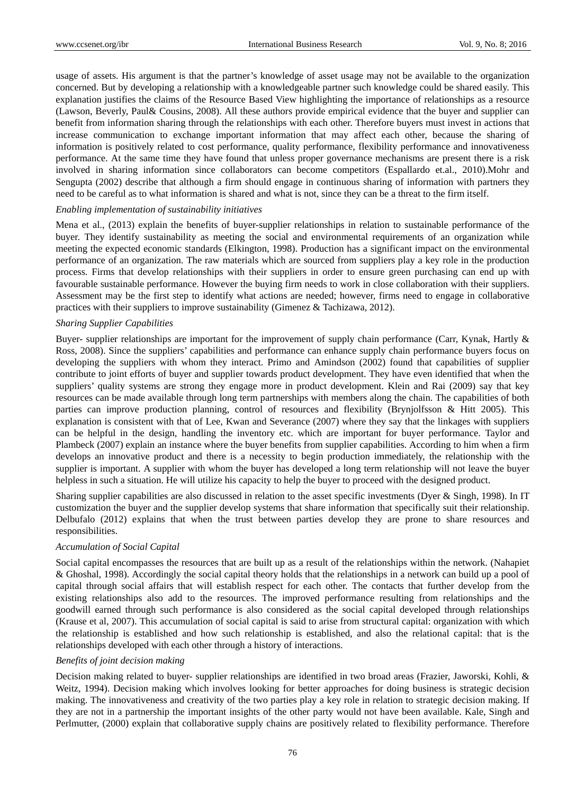usage of assets. His argument is that the partner's knowledge of asset usage may not be available to the organization concerned. But by developing a relationship with a knowledgeable partner such knowledge could be shared easily. This explanation justifies the claims of the Resource Based View highlighting the importance of relationships as a resource (Lawson, Beverly, Paul& Cousins, 2008). All these authors provide empirical evidence that the buyer and supplier can benefit from information sharing through the relationships with each other. Therefore buyers must invest in actions that increase communication to exchange important information that may affect each other, because the sharing of information is positively related to cost performance, quality performance, flexibility performance and innovativeness performance. At the same time they have found that unless proper governance mechanisms are present there is a risk involved in sharing information since collaborators can become competitors (Espallardo et.al., 2010).Mohr and Sengupta (2002) describe that although a firm should engage in continuous sharing of information with partners they need to be careful as to what information is shared and what is not, since they can be a threat to the firm itself.

## *Enabling implementation of sustainability initiatives*

Mena et al., (2013) explain the benefits of buyer-supplier relationships in relation to sustainable performance of the buyer. They identify sustainability as meeting the social and environmental requirements of an organization while meeting the expected economic standards (Elkington, 1998). Production has a significant impact on the environmental performance of an organization. The raw materials which are sourced from suppliers play a key role in the production process. Firms that develop relationships with their suppliers in order to ensure green purchasing can end up with favourable sustainable performance. However the buying firm needs to work in close collaboration with their suppliers. Assessment may be the first step to identify what actions are needed; however, firms need to engage in collaborative practices with their suppliers to improve sustainability (Gimenez & Tachizawa, 2012).

## *Sharing Supplier Capabilities*

Buyer- supplier relationships are important for the improvement of supply chain performance (Carr, Kynak, Hartly & Ross, 2008). Since the suppliers' capabilities and performance can enhance supply chain performance buyers focus on developing the suppliers with whom they interact. Primo and Amindson (2002) found that capabilities of supplier contribute to joint efforts of buyer and supplier towards product development. They have even identified that when the suppliers' quality systems are strong they engage more in product development. Klein and Rai (2009) say that key resources can be made available through long term partnerships with members along the chain. The capabilities of both parties can improve production planning, control of resources and flexibility (Brynjolfsson & Hitt 2005). This explanation is consistent with that of Lee, Kwan and Severance (2007) where they say that the linkages with suppliers can be helpful in the design, handling the inventory etc. which are important for buyer performance. Taylor and Plambeck (2007) explain an instance where the buyer benefits from supplier capabilities. According to him when a firm develops an innovative product and there is a necessity to begin production immediately, the relationship with the supplier is important. A supplier with whom the buyer has developed a long term relationship will not leave the buyer helpless in such a situation. He will utilize his capacity to help the buyer to proceed with the designed product.

Sharing supplier capabilities are also discussed in relation to the asset specific investments (Dyer & Singh, 1998). In IT customization the buyer and the supplier develop systems that share information that specifically suit their relationship. Delbufalo (2012) explains that when the trust between parties develop they are prone to share resources and responsibilities.

## *Accumulation of Social Capital*

Social capital encompasses the resources that are built up as a result of the relationships within the network. (Nahapiet & Ghoshal, 1998). Accordingly the social capital theory holds that the relationships in a network can build up a pool of capital through social affairs that will establish respect for each other. The contacts that further develop from the existing relationships also add to the resources. The improved performance resulting from relationships and the goodwill earned through such performance is also considered as the social capital developed through relationships (Krause et al, 2007). This accumulation of social capital is said to arise from structural capital: organization with which the relationship is established and how such relationship is established, and also the relational capital: that is the relationships developed with each other through a history of interactions.

# *Benefits of joint decision making*

Decision making related to buyer- supplier relationships are identified in two broad areas (Frazier, Jaworski, Kohli, & Weitz, 1994). Decision making which involves looking for better approaches for doing business is strategic decision making. The innovativeness and creativity of the two parties play a key role in relation to strategic decision making. If they are not in a partnership the important insights of the other party would not have been available. Kale, Singh and Perlmutter, (2000) explain that collaborative supply chains are positively related to flexibility performance. Therefore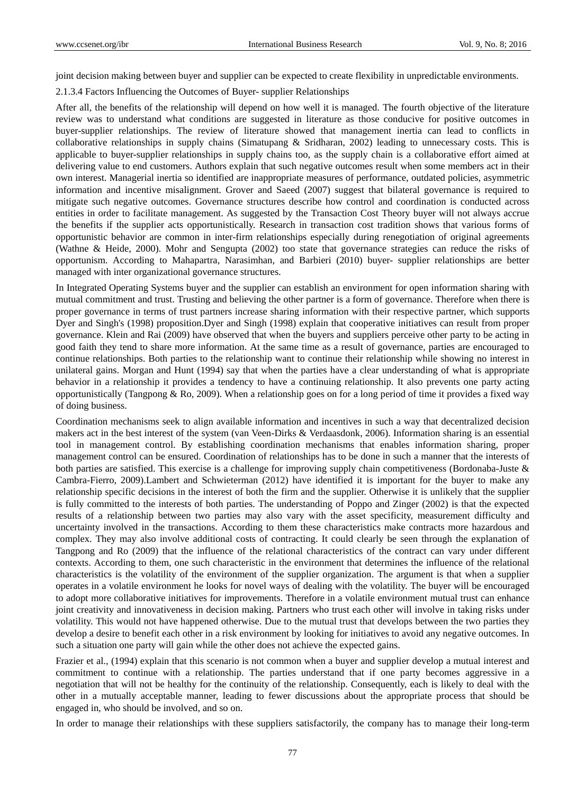joint decision making between buyer and supplier can be expected to create flexibility in unpredictable environments.

2.1.3.4 Factors Influencing the Outcomes of Buyer- supplier Relationships

After all, the benefits of the relationship will depend on how well it is managed. The fourth objective of the literature review was to understand what conditions are suggested in literature as those conducive for positive outcomes in buyer-supplier relationships. The review of literature showed that management inertia can lead to conflicts in collaborative relationships in supply chains (Simatupang & Sridharan, 2002) leading to unnecessary costs. This is applicable to buyer-supplier relationships in supply chains too, as the supply chain is a collaborative effort aimed at delivering value to end customers. Authors explain that such negative outcomes result when some members act in their own interest. Managerial inertia so identified are inappropriate measures of performance, outdated policies, asymmetric information and incentive misalignment. Grover and Saeed (2007) suggest that bilateral governance is required to mitigate such negative outcomes. Governance structures describe how control and coordination is conducted across entities in order to facilitate management. As suggested by the Transaction Cost Theory buyer will not always accrue the benefits if the supplier acts opportunistically. Research in transaction cost tradition shows that various forms of opportunistic behavior are common in inter-firm relationships especially during renegotiation of original agreements (Wathne & Heide, 2000). Mohr and Sengupta (2002) too state that governance strategies can reduce the risks of opportunism. According to Mahapartra, Narasimhan, and Barbieri (2010) buyer- supplier relationships are better managed with inter organizational governance structures.

In Integrated Operating Systems buyer and the supplier can establish an environment for open information sharing with mutual commitment and trust. Trusting and believing the other partner is a form of governance. Therefore when there is proper governance in terms of trust partners increase sharing information with their respective partner, which supports Dyer and Singh's (1998) proposition.Dyer and Singh (1998) explain that cooperative initiatives can result from proper governance. Klein and Rai (2009) have observed that when the buyers and suppliers perceive other party to be acting in good faith they tend to share more information. At the same time as a result of governance, parties are encouraged to continue relationships. Both parties to the relationship want to continue their relationship while showing no interest in unilateral gains. Morgan and Hunt (1994) say that when the parties have a clear understanding of what is appropriate behavior in a relationship it provides a tendency to have a continuing relationship. It also prevents one party acting opportunistically (Tangpong  $\&$  Ro, 2009). When a relationship goes on for a long period of time it provides a fixed way of doing business.

Coordination mechanisms seek to align available information and incentives in such a way that decentralized decision makers act in the best interest of the system (van Veen-Dirks & Verdaasdonk, 2006). Information sharing is an essential tool in management control. By establishing coordination mechanisms that enables information sharing, proper management control can be ensured. Coordination of relationships has to be done in such a manner that the interests of both parties are satisfied. This exercise is a challenge for improving supply chain competitiveness (Bordonaba-Juste & Cambra-Fierro, 2009).Lambert and Schwieterman (2012) have identified it is important for the buyer to make any relationship specific decisions in the interest of both the firm and the supplier. Otherwise it is unlikely that the supplier is fully committed to the interests of both parties. The understanding of Poppo and Zinger (2002) is that the expected results of a relationship between two parties may also vary with the asset specificity, measurement difficulty and uncertainty involved in the transactions. According to them these characteristics make contracts more hazardous and complex. They may also involve additional costs of contracting. It could clearly be seen through the explanation of Tangpong and Ro (2009) that the influence of the relational characteristics of the contract can vary under different contexts. According to them, one such characteristic in the environment that determines the influence of the relational characteristics is the volatility of the environment of the supplier organization. The argument is that when a supplier operates in a volatile environment he looks for novel ways of dealing with the volatility. The buyer will be encouraged to adopt more collaborative initiatives for improvements. Therefore in a volatile environment mutual trust can enhance joint creativity and innovativeness in decision making. Partners who trust each other will involve in taking risks under volatility. This would not have happened otherwise. Due to the mutual trust that develops between the two parties they develop a desire to benefit each other in a risk environment by looking for initiatives to avoid any negative outcomes. In such a situation one party will gain while the other does not achieve the expected gains.

Frazier et al., (1994) explain that this scenario is not common when a buyer and supplier develop a mutual interest and commitment to continue with a relationship. The parties understand that if one party becomes aggressive in a negotiation that will not be healthy for the continuity of the relationship. Consequently, each is likely to deal with the other in a mutually acceptable manner, leading to fewer discussions about the appropriate process that should be engaged in, who should be involved, and so on.

In order to manage their relationships with these suppliers satisfactorily, the company has to manage their long-term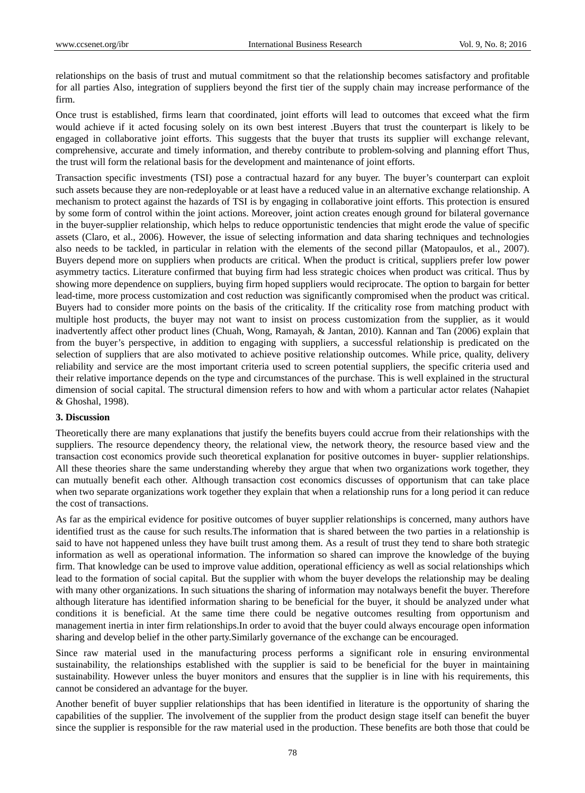relationships on the basis of trust and mutual commitment so that the relationship becomes satisfactory and profitable for all parties Also, integration of suppliers beyond the first tier of the supply chain may increase performance of the firm.

Once trust is established, firms learn that coordinated, joint efforts will lead to outcomes that exceed what the firm would achieve if it acted focusing solely on its own best interest .Buyers that trust the counterpart is likely to be engaged in collaborative joint efforts. This suggests that the buyer that trusts its supplier will exchange relevant, comprehensive, accurate and timely information, and thereby contribute to problem-solving and planning effort Thus, the trust will form the relational basis for the development and maintenance of joint efforts.

Transaction specific investments (TSI) pose a contractual hazard for any buyer. The buyer's counterpart can exploit such assets because they are non-redeployable or at least have a reduced value in an alternative exchange relationship. A mechanism to protect against the hazards of TSI is by engaging in collaborative joint efforts. This protection is ensured by some form of control within the joint actions. Moreover, joint action creates enough ground for bilateral governance in the buyer-supplier relationship, which helps to reduce opportunistic tendencies that might erode the value of specific assets (Claro, et al., 2006). However, the issue of selecting information and data sharing techniques and technologies also needs to be tackled, in particular in relation with the elements of the second pillar (Matopaulos, et al., 2007). Buyers depend more on suppliers when products are critical. When the product is critical, suppliers prefer low power asymmetry tactics. Literature confirmed that buying firm had less strategic choices when product was critical. Thus by showing more dependence on suppliers, buying firm hoped suppliers would reciprocate. The option to bargain for better lead-time, more process customization and cost reduction was significantly compromised when the product was critical. Buyers had to consider more points on the basis of the criticality. If the criticality rose from matching product with multiple host products, the buyer may not want to insist on process customization from the supplier, as it would inadvertently affect other product lines (Chuah, Wong, Ramayah, & Jantan, 2010). Kannan and Tan (2006) explain that from the buyer's perspective, in addition to engaging with suppliers, a successful relationship is predicated on the selection of suppliers that are also motivated to achieve positive relationship outcomes. While price, quality, delivery reliability and service are the most important criteria used to screen potential suppliers, the specific criteria used and their relative importance depends on the type and circumstances of the purchase. This is well explained in the structural dimension of social capital. The structural dimension refers to how and with whom a particular actor relates (Nahapiet & Ghoshal, 1998).

#### **3. Discussion**

Theoretically there are many explanations that justify the benefits buyers could accrue from their relationships with the suppliers. The resource dependency theory, the relational view, the network theory, the resource based view and the transaction cost economics provide such theoretical explanation for positive outcomes in buyer- supplier relationships. All these theories share the same understanding whereby they argue that when two organizations work together, they can mutually benefit each other. Although transaction cost economics discusses of opportunism that can take place when two separate organizations work together they explain that when a relationship runs for a long period it can reduce the cost of transactions.

As far as the empirical evidence for positive outcomes of buyer supplier relationships is concerned, many authors have identified trust as the cause for such results.The information that is shared between the two parties in a relationship is said to have not happened unless they have built trust among them. As a result of trust they tend to share both strategic information as well as operational information. The information so shared can improve the knowledge of the buying firm. That knowledge can be used to improve value addition, operational efficiency as well as social relationships which lead to the formation of social capital. But the supplier with whom the buyer develops the relationship may be dealing with many other organizations. In such situations the sharing of information may notalways benefit the buyer. Therefore although literature has identified information sharing to be beneficial for the buyer, it should be analyzed under what conditions it is beneficial. At the same time there could be negative outcomes resulting from opportunism and management inertia in inter firm relationships.In order to avoid that the buyer could always encourage open information sharing and develop belief in the other party.Similarly governance of the exchange can be encouraged.

Since raw material used in the manufacturing process performs a significant role in ensuring environmental sustainability, the relationships established with the supplier is said to be beneficial for the buyer in maintaining sustainability. However unless the buyer monitors and ensures that the supplier is in line with his requirements, this cannot be considered an advantage for the buyer.

Another benefit of buyer supplier relationships that has been identified in literature is the opportunity of sharing the capabilities of the supplier. The involvement of the supplier from the product design stage itself can benefit the buyer since the supplier is responsible for the raw material used in the production. These benefits are both those that could be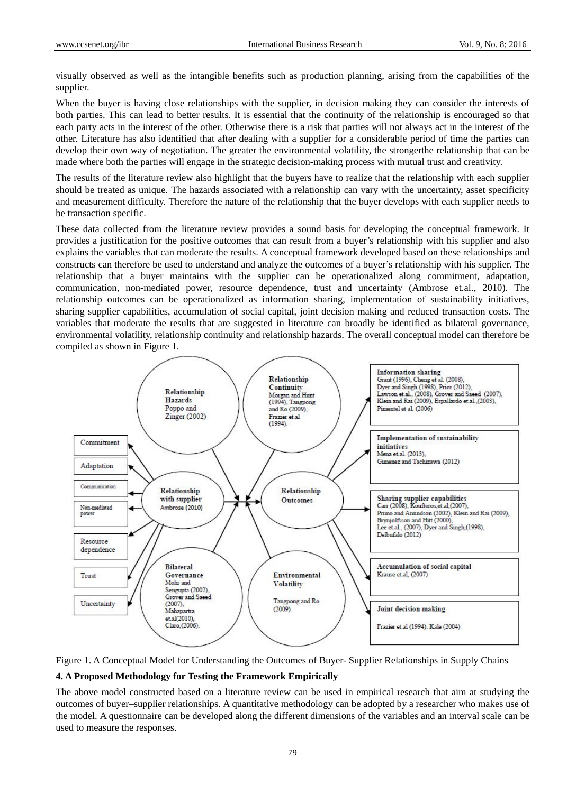visually observed as well as the intangible benefits such as production planning, arising from the capabilities of the supplier.

When the buyer is having close relationships with the supplier, in decision making they can consider the interests of both parties. This can lead to better results. It is essential that the continuity of the relationship is encouraged so that each party acts in the interest of the other. Otherwise there is a risk that parties will not always act in the interest of the other. Literature has also identified that after dealing with a supplier for a considerable period of time the parties can develop their own way of negotiation. The greater the environmental volatility, the strongerthe relationship that can be made where both the parties will engage in the strategic decision-making process with mutual trust and creativity.

The results of the literature review also highlight that the buyers have to realize that the relationship with each supplier should be treated as unique. The hazards associated with a relationship can vary with the uncertainty, asset specificity and measurement difficulty. Therefore the nature of the relationship that the buyer develops with each supplier needs to be transaction specific.

These data collected from the literature review provides a sound basis for developing the conceptual framework. It provides a justification for the positive outcomes that can result from a buyer's relationship with his supplier and also explains the variables that can moderate the results. A conceptual framework developed based on these relationships and constructs can therefore be used to understand and analyze the outcomes of a buyer's relationship with his supplier. The relationship that a buyer maintains with the supplier can be operationalized along commitment, adaptation, communication, non-mediated power, resource dependence, trust and uncertainty (Ambrose et.al., 2010). The relationship outcomes can be operationalized as information sharing, implementation of sustainability initiatives, sharing supplier capabilities, accumulation of social capital, joint decision making and reduced transaction costs. The variables that moderate the results that are suggested in literature can broadly be identified as bilateral governance, environmental volatility, relationship continuity and relationship hazards. The overall conceptual model can therefore be compiled as shown in Figure 1.





#### **4. A Proposed Methodology for Testing the Framework Empirically**

The above model constructed based on a literature review can be used in empirical research that aim at studying the outcomes of buyer–supplier relationships. A quantitative methodology can be adopted by a researcher who makes use of the model. A questionnaire can be developed along the different dimensions of the variables and an interval scale can be used to measure the responses.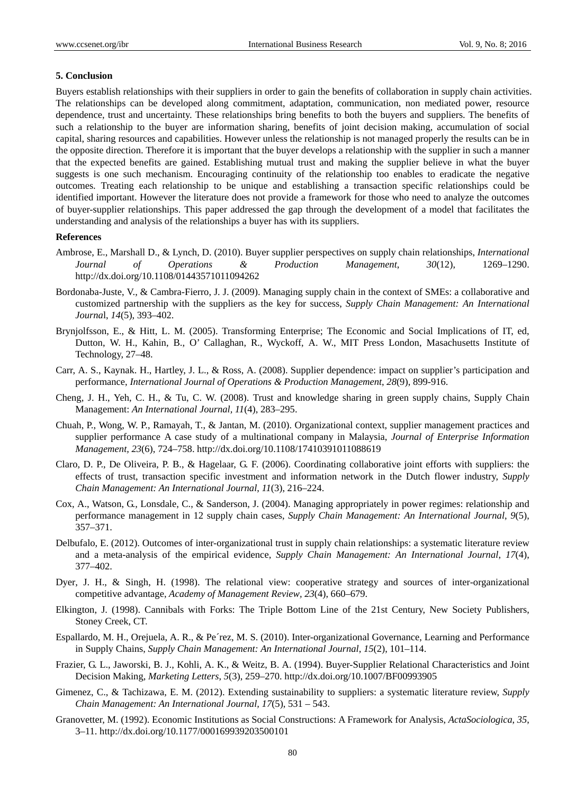#### **5. Conclusion**

Buyers establish relationships with their suppliers in order to gain the benefits of collaboration in supply chain activities. The relationships can be developed along commitment, adaptation, communication, non mediated power, resource dependence, trust and uncertainty. These relationships bring benefits to both the buyers and suppliers. The benefits of such a relationship to the buyer are information sharing, benefits of joint decision making, accumulation of social capital, sharing resources and capabilities. However unless the relationship is not managed properly the results can be in the opposite direction. Therefore it is important that the buyer develops a relationship with the supplier in such a manner that the expected benefits are gained. Establishing mutual trust and making the supplier believe in what the buyer suggests is one such mechanism. Encouraging continuity of the relationship too enables to eradicate the negative outcomes. Treating each relationship to be unique and establishing a transaction specific relationships could be identified important. However the literature does not provide a framework for those who need to analyze the outcomes of buyer-supplier relationships. This paper addressed the gap through the development of a model that facilitates the understanding and analysis of the relationships a buyer has with its suppliers.

#### **References**

- Ambrose, E., Marshall D., & Lynch, D. (2010). Buyer supplier perspectives on supply chain relationships, *International Journal of Operations & Production Management*, *30*(12), 1269–1290. http://dx.doi.org/10.1108/01443571011094262
- Bordonaba-Juste, V., & Cambra-Fierro, J. J. (2009). Managing supply chain in the context of SMEs: a collaborative and customized partnership with the suppliers as the key for success, *Supply Chain Management: An International Journa*l, *14*(5), 393–402.
- Brynjolfsson, E., & Hitt, L. M. (2005). Transforming Enterprise; The Economic and Social Implications of IT, ed, Dutton, W. H., Kahin, B., O' Callaghan, R., Wyckoff, A. W., MIT Press London, Masachusetts Institute of Technology, 27–48.
- Carr, A. S., Kaynak. H., Hartley, J. L., & Ross, A. (2008). Supplier dependence: impact on supplier's participation and performance, *International Journal of Operations & Production Management*, *28*(9), 899-916.
- Cheng, J. H., Yeh, C. H., & Tu, C. W. (2008). Trust and knowledge sharing in green supply chains, Supply Chain Management: *An International Journal, 11*(4), 283–295.
- Chuah, P., Wong, W. P., Ramayah, T., & Jantan, M. (2010). Organizational context, supplier management practices and supplier performance A case study of a multinational company in Malaysia, *Journal of Enterprise Information Management, 23*(6), 724–758. http://dx.doi.org/10.1108/17410391011088619
- Claro, D. P., De Oliveira, P. B., & Hagelaar, G. F. (2006). Coordinating collaborative joint efforts with suppliers: the effects of trust, transaction specific investment and information network in the Dutch flower industry, *Supply Chain Management: An International Journal*, *11*(3), 216–224.
- Cox, A., Watson, G., Lonsdale, C., & Sanderson, J. (2004). Managing appropriately in power regimes: relationship and performance management in 12 supply chain cases, *Supply Chain Management: An International Journal*, *9*(5), 357–371.
- Delbufalo, E. (2012). Outcomes of inter-organizational trust in supply chain relationships: a systematic literature review and a meta-analysis of the empirical evidence, *Supply Chain Management: An International Journal*, *17*(4), 377–402.
- Dyer, J. H., & Singh, H. (1998). The relational view: cooperative strategy and sources of inter-organizational competitive advantage, *Academy of Management Review, 23*(4), 660–679.
- Elkington, J. (1998). Cannibals with Forks: The Triple Bottom Line of the 21st Century, New Society Publishers, Stoney Creek, CT.
- Espallardo, M. H., Orejuela, A. R., & Pe´rez, M. S. (2010). Inter-organizational Governance, Learning and Performance in Supply Chains, *Supply Chain Management: An International Journal*, *15*(2), 101–114.
- Frazier, G. L., Jaworski, B. J., Kohli, A. K., & Weitz, B. A. (1994). Buyer-Supplier Relational Characteristics and Joint Decision Making, *Marketing Letters*, *5*(3), 259–270. http://dx.doi.org/10.1007/BF00993905
- Gimenez, C., & Tachizawa, E. M. (2012). Extending sustainability to suppliers: a systematic literature review, *Supply Chain Management: An International Journal, 17*(5), 531 – 543.
- Granovetter, M. (1992). Economic Institutions as Social Constructions: A Framework for Analysis, *ActaSociologica*, *35*, 3–11. http://dx.doi.org/10.1177/000169939203500101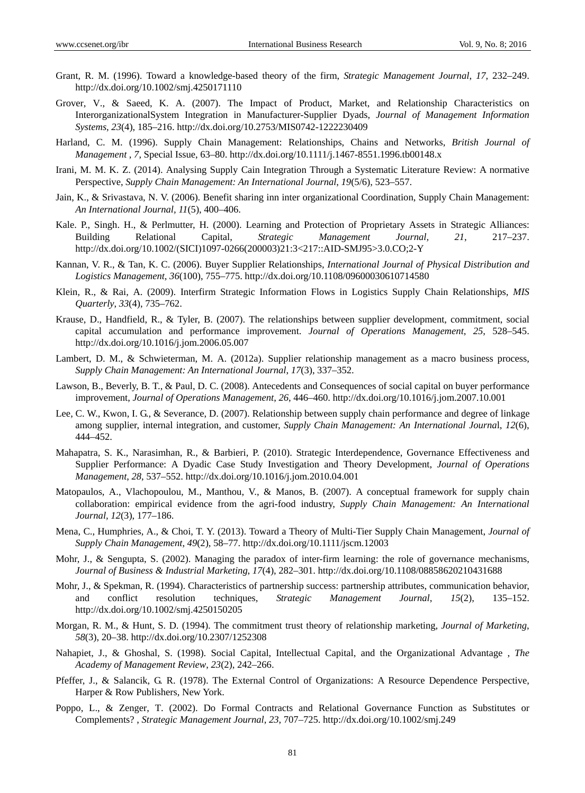- Grant, R. M. (1996). Toward a knowledge-based theory of the firm, *Strategic Management Journal*, *17*, 232–249. http://dx.doi.org/10.1002/smj.4250171110
- Grover, V., & Saeed, K. A. (2007). The Impact of Product, Market, and Relationship Characteristics on InterorganizationalSystem Integration in Manufacturer-Supplier Dyads, *Journal of Management Information Systems*, *23*(4), 185–216. http://dx.doi.org/10.2753/MIS0742-1222230409
- Harland, C. M. (1996). Supply Chain Management: Relationships, Chains and Networks, *British Journal of Management* , *7*, Special Issue, 63–80. http://dx.doi.org/10.1111/j.1467-8551.1996.tb00148.x
- Irani, M. M. K. Z. (2014). Analysing Supply Cain Integration Through a Systematic Literature Review: A normative Perspective, *Supply Chain Management: An International Journal*, *19*(5/6), 523–557.
- Jain, K., & Srivastava, N. V. (2006). Benefit sharing inn inter organizational Coordination, Supply Chain Management: *An International Journal, 11*(5), 400–406.
- Kale. P., Singh. H., & Perlmutter, H. (2000). Learning and Protection of Proprietary Assets in Strategic Alliances: Building Relational Capital, *Strategic Management Journal, 21*, 217–237. http://dx.doi.org/10.1002/(SICI)1097-0266(200003)21:3<217::AID-SMJ95>3.0.CO;2-Y
- Kannan, V. R., & Tan, K. C. (2006). Buyer Supplier Relationships, *International Journal of Physical Distribution and Logistics Management*, *36*(100), 755–775. http://dx.doi.org/10.1108/09600030610714580
- Klein, R., & Rai, A. (2009). Interfirm Strategic Information Flows in Logistics Supply Chain Relationships, *MIS Quarterly*, *33*(4), 735–762.
- Krause, D., Handfield, R., & Tyler, B. (2007). The relationships between supplier development, commitment, social capital accumulation and performance improvement. *Journal of Operations Management*, *25*, 528–545. http://dx.doi.org/10.1016/j.jom.2006.05.007
- Lambert, D. M., & Schwieterman, M. A. (2012a). Supplier relationship management as a macro business process, *Supply Chain Management: An International Journal*, *17*(3), 337–352.
- Lawson, B., Beverly, B. T., & Paul, D. C. (2008). Antecedents and Consequences of social capital on buyer performance improvement, *Journal of Operations Management*, *26*, 446–460. http://dx.doi.org/10.1016/j.jom.2007.10.001
- Lee, C. W., Kwon, I. G., & Severance, D. (2007). Relationship between supply chain performance and degree of linkage among supplier, internal integration, and customer, *Supply Chain Management: An International Journa*l, *12*(6), 444–452.
- Mahapatra, S. K., Narasimhan, R., & Barbieri, P. (2010). Strategic Interdependence, Governance Effectiveness and Supplier Performance: A Dyadic Case Study Investigation and Theory Development, *Journal of Operations Management*, *28*, 537–552. http://dx.doi.org/10.1016/j.jom.2010.04.001
- Matopaulos, A., Vlachopoulou, M., Manthou, V., & Manos, B. (2007). A conceptual framework for supply chain collaboration: empirical evidence from the agri-food industry, *Supply Chain Management: An International Journal, 12*(3), 177–186.
- Mena, C., Humphries, A., & Choi, T. Y. (2013). Toward a Theory of Multi-Tier Supply Chain Management, *Journal of Supply Chain Management*, *49*(2), 58–77. http://dx.doi.org/10.1111/jscm.12003
- Mohr, J., & Sengupta, S. (2002). Managing the paradox of inter-firm learning: the role of governance mechanisms, *Journal of Business & Industrial Marketing*, *17*(4), 282–301. http://dx.doi.org/10.1108/08858620210431688
- Mohr, J., & Spekman, R. (1994). Characteristics of partnership success: partnership attributes, communication behavior, and conflict resolution techniques, *Strategic Management Journal*, *15*(2), 135–152. http://dx.doi.org/10.1002/smj.4250150205
- Morgan, R. M., & Hunt, S. D. (1994). The commitment trust theory of relationship marketing, *Journal of Marketing*, *58*(3), 20–38. http://dx.doi.org/10.2307/1252308
- Nahapiet, J., & Ghoshal, S. (1998). Social Capital, Intellectual Capital, and the Organizational Advantage , *The Academy of Management Review*, *23*(2), 242–266.
- Pfeffer, J., & Salancik, G. R. (1978). The External Control of Organizations: A Resource Dependence Perspective, Harper & Row Publishers, New York.
- Poppo, L., & Zenger, T. (2002). Do Formal Contracts and Relational Governance Function as Substitutes or Complements? , *Strategic Management Journal*, *23*, 707–725. http://dx.doi.org/10.1002/smj.249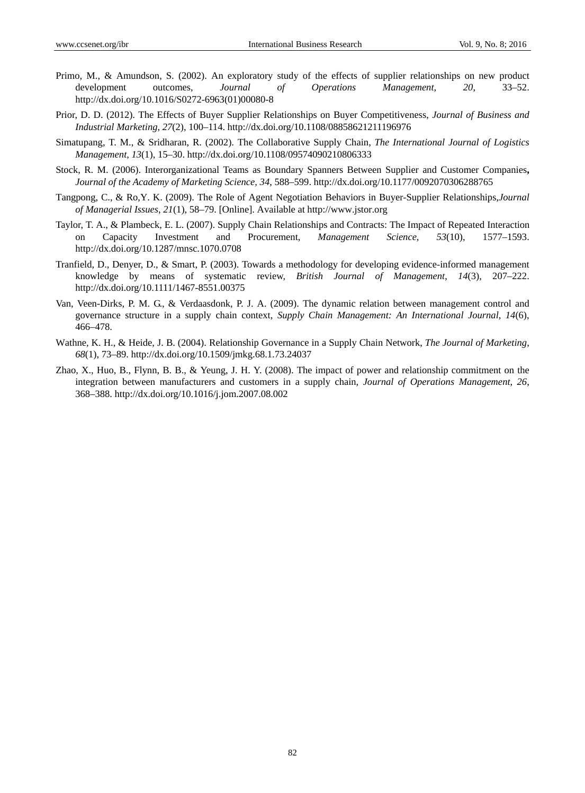- Primo, M., & Amundson, S. (2002). An exploratory study of the effects of supplier relationships on new product development outcomes, *Journal of Operations Management*, *20*, 33–52. http://dx.doi.org/10.1016/S0272-6963(01)00080-8
- Prior, D. D. (2012). The Effects of Buyer Supplier Relationships on Buyer Competitiveness, *Journal of Business and Industrial Marketing*, *27*(2), 100–114. http://dx.doi.org/10.1108/08858621211196976
- Simatupang, T. M., & Sridharan, R. (2002). The Collaborative Supply Chain, *The International Journal of Logistics Management*, *13*(1), 15–30. http://dx.doi.org/10.1108/09574090210806333
- Stock, R. M. (2006). Interorganizational Teams as Boundary Spanners Between Supplier and Customer Companies**,**  *Journal of the Academy of Marketing Science, 34*, 588–599. http://dx.doi.org/10.1177/0092070306288765
- Tangpong, C., & Ro,Y. K. (2009). The Role of Agent Negotiation Behaviors in Buyer-Supplier Relationships,*Journal of Managerial Issues*, *21*(1), 58–79. [Online]. Available at http://www.jstor.org
- Taylor, T. A., & Plambeck, E. L. (2007). Supply Chain Relationships and Contracts: The Impact of Repeated Interaction on Capacity Investment and Procurement, *Management Science*, *53*(10), 1577–1593. http://dx.doi.org/10.1287/mnsc.1070.0708
- Tranfield, D., Denyer, D., & Smart, P. (2003). Towards a methodology for developing evidence-informed management knowledge by means of systematic review, *British Journal of Management*, *14*(3), 207–222. http://dx.doi.org/10.1111/1467-8551.00375
- Van, Veen-Dirks, P. M. G., & Verdaasdonk, P. J. A. (2009). The dynamic relation between management control and governance structure in a supply chain context, *Supply Chain Management: An International Journal*, *14*(6), 466–478.
- Wathne, K. H., & Heide, J. B. (2004). Relationship Governance in a Supply Chain Network, *The Journal of Marketing*, *68*(1), 73–89. http://dx.doi.org/10.1509/jmkg.68.1.73.24037
- Zhao, X., Huo, B., Flynn, B. B., & Yeung, J. H. Y. (2008). The impact of power and relationship commitment on the integration between manufacturers and customers in a supply chain, *Journal of Operations Management*, *26*, 368–388. http://dx.doi.org/10.1016/j.jom.2007.08.002